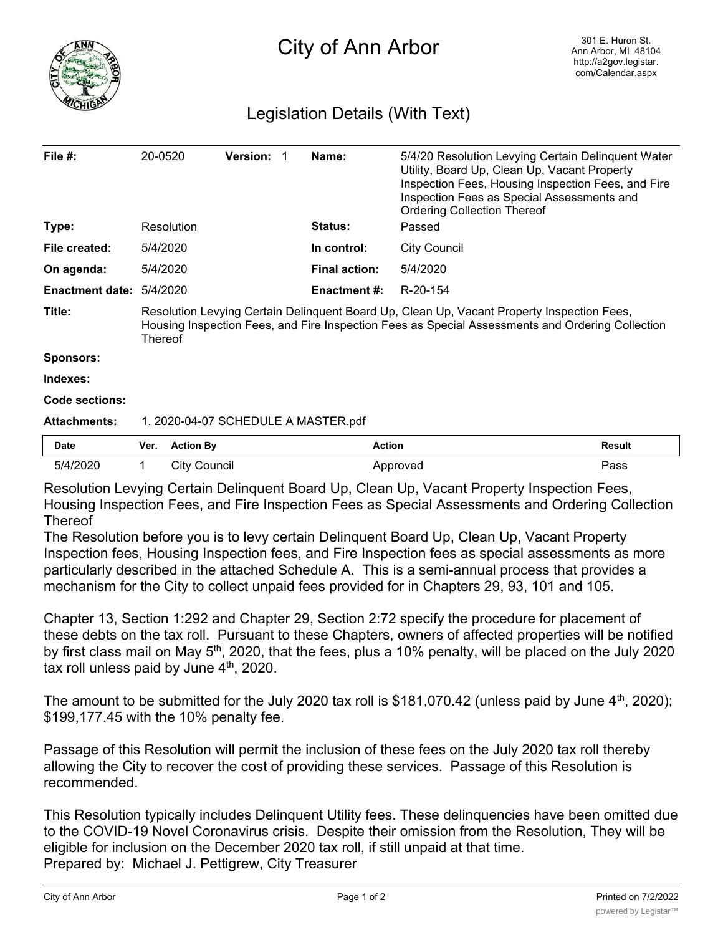

## Legislation Details (With Text)

| File #:                | 20-0520                                                                                                                                                                                                          |                     | <b>Version:</b> |  | Name:                | 5/4/20 Resolution Levying Certain Delinquent Water<br>Utility, Board Up, Clean Up, Vacant Property<br>Inspection Fees, Housing Inspection Fees, and Fire<br>Inspection Fees as Special Assessments and<br><b>Ordering Collection Thereof</b> |               |
|------------------------|------------------------------------------------------------------------------------------------------------------------------------------------------------------------------------------------------------------|---------------------|-----------------|--|----------------------|----------------------------------------------------------------------------------------------------------------------------------------------------------------------------------------------------------------------------------------------|---------------|
| Type:                  |                                                                                                                                                                                                                  | Resolution          |                 |  | <b>Status:</b>       | Passed                                                                                                                                                                                                                                       |               |
| File created:          |                                                                                                                                                                                                                  | 5/4/2020            |                 |  | In control:          | <b>City Council</b>                                                                                                                                                                                                                          |               |
| On agenda:             | 5/4/2020                                                                                                                                                                                                         |                     |                 |  | <b>Final action:</b> | 5/4/2020                                                                                                                                                                                                                                     |               |
| <b>Enactment date:</b> | 5/4/2020                                                                                                                                                                                                         |                     |                 |  | Enactment #:         | R-20-154                                                                                                                                                                                                                                     |               |
| Title:                 | Resolution Levying Certain Delinquent Board Up, Clean Up, Vacant Property Inspection Fees,<br>Housing Inspection Fees, and Fire Inspection Fees as Special Assessments and Ordering Collection<br><b>Thereof</b> |                     |                 |  |                      |                                                                                                                                                                                                                                              |               |
| <b>Sponsors:</b>       |                                                                                                                                                                                                                  |                     |                 |  |                      |                                                                                                                                                                                                                                              |               |
| Indexes:               |                                                                                                                                                                                                                  |                     |                 |  |                      |                                                                                                                                                                                                                                              |               |
| Code sections:         |                                                                                                                                                                                                                  |                     |                 |  |                      |                                                                                                                                                                                                                                              |               |
| <b>Attachments:</b>    | 1. 2020-04-07 SCHEDULE A MASTER.pdf                                                                                                                                                                              |                     |                 |  |                      |                                                                                                                                                                                                                                              |               |
| <b>Date</b>            | Ver.                                                                                                                                                                                                             | <b>Action By</b>    |                 |  |                      | <b>Action</b>                                                                                                                                                                                                                                | <b>Result</b> |
| 5/4/2020               |                                                                                                                                                                                                                  | <b>City Council</b> |                 |  |                      | Approved                                                                                                                                                                                                                                     | Pass          |

Resolution Levying Certain Delinquent Board Up, Clean Up, Vacant Property Inspection Fees, Housing Inspection Fees, and Fire Inspection Fees as Special Assessments and Ordering Collection **Thereof** 

The Resolution before you is to levy certain Delinquent Board Up, Clean Up, Vacant Property Inspection fees, Housing Inspection fees, and Fire Inspection fees as special assessments as more particularly described in the attached Schedule A. This is a semi-annual process that provides a mechanism for the City to collect unpaid fees provided for in Chapters 29, 93, 101 and 105.

Chapter 13, Section 1:292 and Chapter 29, Section 2:72 specify the procedure for placement of these debts on the tax roll. Pursuant to these Chapters, owners of affected properties will be notified by first class mail on May 5<sup>th</sup>, 2020, that the fees, plus a 10% penalty, will be placed on the July 2020 tax roll unless paid by June  $4<sup>th</sup>$ , 2020.

The amount to be submitted for the July 2020 tax roll is \$181,070.42 (unless paid by June  $4<sup>th</sup>$ , 2020); \$199,177.45 with the 10% penalty fee.

Passage of this Resolution will permit the inclusion of these fees on the July 2020 tax roll thereby allowing the City to recover the cost of providing these services. Passage of this Resolution is recommended.

This Resolution typically includes Delinquent Utility fees. These delinquencies have been omitted due to the COVID-19 Novel Coronavirus crisis. Despite their omission from the Resolution, They will be eligible for inclusion on the December 2020 tax roll, if still unpaid at that time. Prepared by: Michael J. Pettigrew, City Treasurer